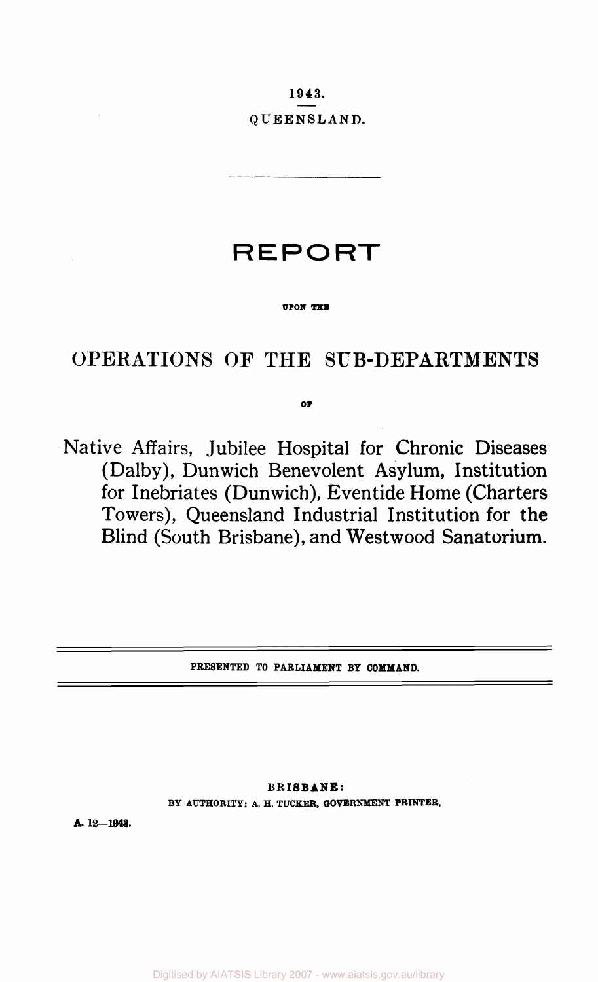**1943. QUEENSLAND.** 

# **REPORT**

#### **UPON THE**

# OPERATIONS OF THE SUB-DEPARTMENTS

**OF** 

Native Affairs, Jubilee Hospital for Chronic Diseases (Dalby), Dunwich Benevolent Asylum, Institution for Inebriates (Dunwich), Eventide Home (Charters Towers), Queensland Industrial Institution for the Blind (South Brisbane), and West wood Sanatorium.

PRESENTED TO PARLIAMENT BY COMMAND.

**BRISBANE:**  BY AUTHORITY: A. H. TUCKER, GOVERNMENT PRINTER.

**A. 18—1943.**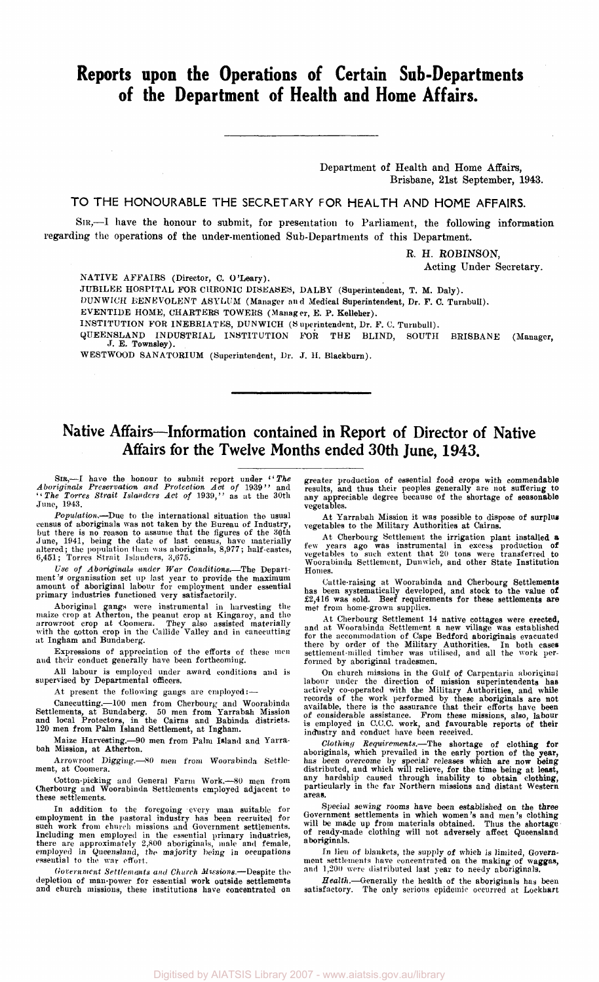## **Reports upon the Operations of Certain Sub-Departments of the Department of Health and Home Affairs.**

Department of Health and Home Affairs, Brisbane, 21st September, 1943.

TO THE HONOURABLE THE SECRETARY FOR HEALTH AND HOME AFFAIRS.

SIR,—I have the honour to submit, for presentation to Parliament, the following information regarding the operations of the under-mentioned Sub-Departments of this Department.

R. H. ROBINSON,

Acting Under Secretary.

NATIVE AFFAIRS (Director, C. O'Leary).

JUBILEE HOSPITAL FOR CHRONIC DISEASES, DALBY (Superintendent, T. M. Daly).

DUNWICH BENEVOLENT ASYLUM (Manager an d Medical Superintendent, Dr. F. C. Turnbull).

EVENTIDE HOME, CHARTERS TOWERS (Manager, E. P. Kelleher).

INSTITUTION FOR INEBRIATES, DUNWICH (Superintendent, Dr. F. C. Turnbull).

QUEENSLAND INDUSTRIAL INSTITUTION FOR THE BLIND, SOUTH BRISBANE (Manager, J. E. Townsley).

WESTWOOD SANATORIUM (Superintendent, Dr. J. H. Blackburn).

### **Native Affairs—Information contained in Report of Director of Native Affairs for the Twelve Months ended 30th June, 1943.**

SIR,—I have the honour to submit report under ''*The Aboriginals Preservation and Protection Act of* 1939'' and ''*The Torres Strait Islanders Act of* 1939,'' as at the 30th June, 1943.

*Population.*—Due to the international situation the usual census of aboriginals was not taken by the Bureau of Industry,<br>but there is no reason to assume that the figures of the 30th<br>June, 1941, being the date of last census, have materially<br>altered; the population then was abori

Use of *Aboriginals under War Conditions*.—The Depart-<br>ment's organisation set up last year to provide the maximum<br>amount of aboriginal labour for employment under essential primary industries functioned very satisfactorily.

Aboriginal gangs were instrumental in harvesting the maize crop at Atherton, the peanut crop at Kingaroy, and the arrowroot crop at Coomera. They also assisted materially with the cotton crop in the Callide Valley and in c at Ingham and Bundaberg.

Expressions of appreciation of the efforts of these men and their conduct generally have been forthcoming.

All labour is employed under award conditions and is supervised by Departmental officers.

At present the following gangs are employed:—

Canecutting.—100 men from Cherbourg and Woorabinda Settlements, at Bundaberg. 50 men from Yarrabah Mission and local Protectors, in the Cairns and Babinda districts. 120 men from Palm Island Settlement, at Ingham.

Maize Harvesting.—90 men from Palm Island and Yarrabah Mission, at Atherton.

Arrowroot Digging.—80 men from Woorabinda Settlement, at Coomera.

Cotton-picking and General Farm Work.—80 men from Cherbourg and Woorabinda Settlements employed adjacent to these settlements.

In addition to the foregoing every man suitable for<br>employment in the pastoral industry has been recruited for<br>such work from church missions and Government settlements.<br>Including men employed in the essential primary indu

*Government Settlements and Church Missions.*—Despite the depletion of man-power for essential work outside settlements and church missions, these institutions have concentrated on

greater production of essential food crops with commendable results, and thus their peoples generally are not suffering to any appreciable degree because of the shortage of seasonable vegetables.

At Yarrabah Mission it was possible to dispose of surplus vegetables to the Military Authorities at Cairns.

At Cherbourg Settlement the irrigation plant installed a few years ago was instrumental in excess production of vegetables to such extent that 20 tons were transferred to Woorabinda Settlement, Dunwich, and other State Institution Homes.

Cattle-raising at Woorabinda and Cherbourg Settlements has been systematically developed, and stock to the value of £2,416 was sold. Beef requirements for these settlements are met from home-grown supplies.

At Cherbourg Settlement 14 native cottages were erected,<br>and at Woorabinda Settlement a new village was established<br>for the accommodation of Cape Bedford aboriginals evacuated<br>there by order of the Military Authorities. In formed by aboriginal tradesmen.

On church missions in the Gulf of Carpentaria aboriginal<br>labour under the direction of mission superintendents has<br>actively co-operated with the Military Authorities, and while<br>records of the work performed by these aborig

Clothing Requirements.—The shortage of clothing for<br>aboriginals, which prevailed in the early portion of the year,<br>has been overcome by special releases which are now being<br>distributed, and which will relieve, for the time areas.

Special sewing rooms have been established on the three Government settlements in which women's and men's clothing will be made up from materials obtained. Thus the shortage of ready-made clothing will not adversely affect Queensland aboriginals.

In lieu of blankets, the supply of which is limited, Govern-<br>ment settlements have concentrated on the making of waggas,<br>and 1,200 were distributed last year to needy aboriginals.

*Health.*—Generally the health of the aboriginals has been satisfactory. The only serious epidemic occurred at Lockhart